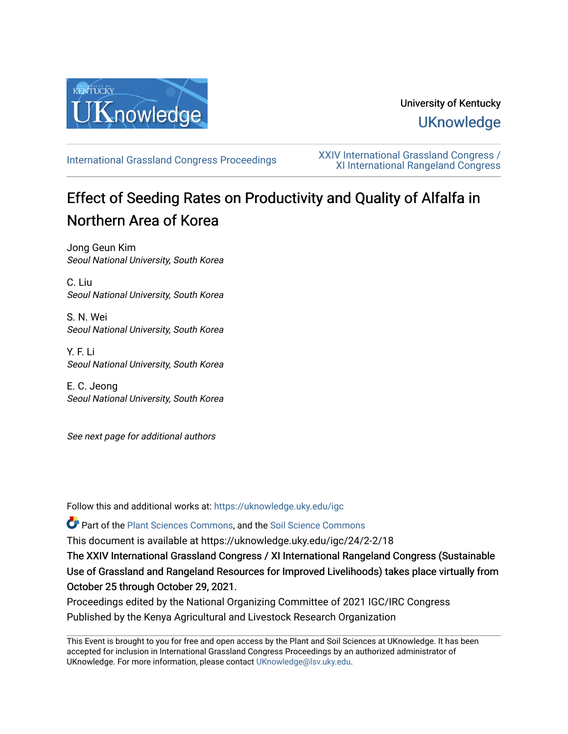

# University of Kentucky **UKnowledge**

[International Grassland Congress Proceedings](https://uknowledge.uky.edu/igc) [XXIV International Grassland Congress /](https://uknowledge.uky.edu/igc/24)  [XI International Rangeland Congress](https://uknowledge.uky.edu/igc/24) 

# Effect of Seeding Rates on Productivity and Quality of Alfalfa in Northern Area of Korea

Jong Geun Kim Seoul National University, South Korea

C. Liu Seoul National University, South Korea

S. N. Wei Seoul National University, South Korea

Y. F. Li Seoul National University, South Korea

E. C. Jeong Seoul National University, South Korea

See next page for additional authors

Follow this and additional works at: [https://uknowledge.uky.edu/igc](https://uknowledge.uky.edu/igc?utm_source=uknowledge.uky.edu%2Figc%2F24%2F2-2%2F18&utm_medium=PDF&utm_campaign=PDFCoverPages) 

Part of the [Plant Sciences Commons](http://network.bepress.com/hgg/discipline/102?utm_source=uknowledge.uky.edu%2Figc%2F24%2F2-2%2F18&utm_medium=PDF&utm_campaign=PDFCoverPages), and the [Soil Science Commons](http://network.bepress.com/hgg/discipline/163?utm_source=uknowledge.uky.edu%2Figc%2F24%2F2-2%2F18&utm_medium=PDF&utm_campaign=PDFCoverPages) 

This document is available at https://uknowledge.uky.edu/igc/24/2-2/18

The XXIV International Grassland Congress / XI International Rangeland Congress (Sustainable Use of Grassland and Rangeland Resources for Improved Livelihoods) takes place virtually from October 25 through October 29, 2021.

Proceedings edited by the National Organizing Committee of 2021 IGC/IRC Congress Published by the Kenya Agricultural and Livestock Research Organization

This Event is brought to you for free and open access by the Plant and Soil Sciences at UKnowledge. It has been accepted for inclusion in International Grassland Congress Proceedings by an authorized administrator of UKnowledge. For more information, please contact [UKnowledge@lsv.uky.edu](mailto:UKnowledge@lsv.uky.edu).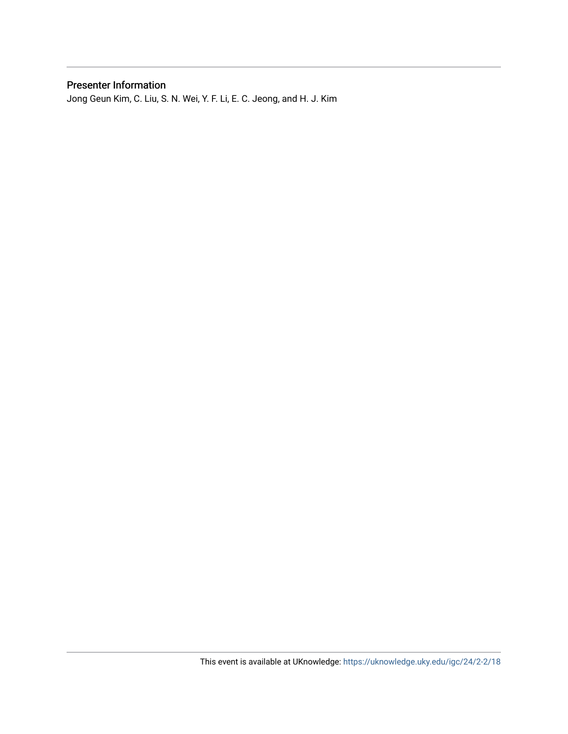### Presenter Information

Jong Geun Kim, C. Liu, S. N. Wei, Y. F. Li, E. C. Jeong, and H. J. Kim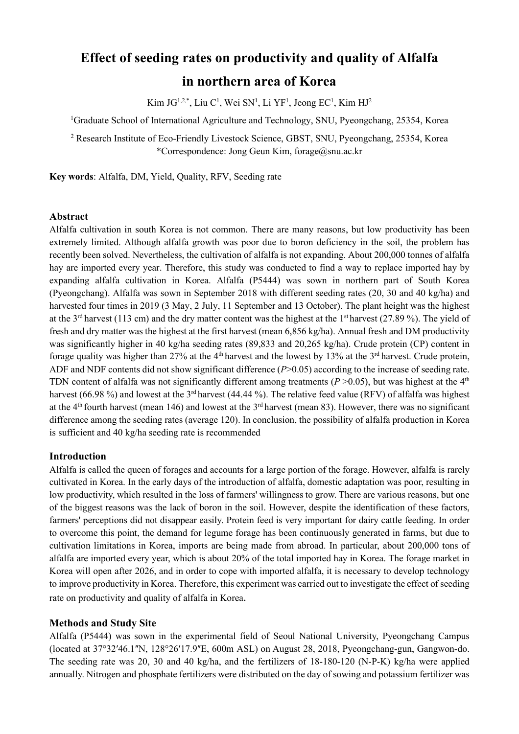## **Effect of seeding rates on productivity and quality of Alfalfa**

## **in northern area of Korea**

Kim J $G^{1,2,*}$ , Liu C<sup>1</sup>, Wei SN<sup>1</sup>, Li YF<sup>1</sup>, Jeong EC<sup>1</sup>, Kim HJ<sup>2</sup>

<sup>1</sup>Graduate School of International Agriculture and Technology, SNU, Pyeongchang, 25354, Korea

<sup>2</sup> Research Institute of Eco-Friendly Livestock Science, GBST, SNU, Pyeongchang, 25354, Korea \*Correspondence: Jong Geun Kim, [forage@snu.ac.kr](mailto:forage@snu.ac.kr)

**Key words**: Alfalfa, DM, Yield, Quality, RFV, Seeding rate

#### **Abstract**

Alfalfa cultivation in south Korea is not common. There are many reasons, but low productivity has been extremely limited. Although alfalfa growth was poor due to boron deficiency in the soil, the problem has recently been solved. Nevertheless, the cultivation of alfalfa is not expanding. About 200,000 tonnes of alfalfa hay are imported every year. Therefore, this study was conducted to find a way to replace imported hay by expanding alfalfa cultivation in Korea. Alfalfa (P5444) was sown in northern part of South Korea (Pyeongchang). Alfalfa was sown in September 2018 with different seeding rates (20, 30 and 40 kg/ha) and harvested four times in 2019 (3 May, 2 July, 11 September and 13 October). The plant height was the highest at the 3<sup>rd</sup> harvest (113 cm) and the dry matter content was the highest at the 1<sup>st</sup> harvest (27.89 %). The yield of fresh and dry matter was the highest at the first harvest (mean 6,856 kg/ha). Annual fresh and DM productivity was significantly higher in 40 kg/ha seeding rates (89,833 and 20,265 kg/ha). Crude protein (CP) content in forage quality was higher than 27% at the 4<sup>th</sup> harvest and the lowest by 13% at the 3<sup>rd</sup> harvest. Crude protein, ADF and NDF contents did not show significant difference (*P*>0.05) according to the increase of seeding rate. TDN content of alfalfa was not significantly different among treatments  $(P > 0.05)$ , but was highest at the  $4<sup>th</sup>$ harvest (66.98 %) and lowest at the 3<sup>rd</sup> harvest (44.44 %). The relative feed value (RFV) of alfalfa was highest at the  $4<sup>th</sup>$  fourth harvest (mean 146) and lowest at the  $3<sup>rd</sup>$  harvest (mean 83). However, there was no significant difference among the seeding rates (average 120). In conclusion, the possibility of alfalfa production in Korea is sufficient and 40 kg/ha seeding rate is recommended

#### **Introduction**

Alfalfa is called the queen of forages and accounts for a large portion of the forage. However, alfalfa is rarely cultivated in Korea. In the early days of the introduction of alfalfa, domestic adaptation was poor, resulting in low productivity, which resulted in the loss of farmers' willingness to grow. There are various reasons, but one of the biggest reasons was the lack of boron in the soil. However, despite the identification of these factors, farmers' perceptions did not disappear easily. Protein feed is very important for dairy cattle feeding. In order to overcome this point, the demand for legume forage has been continuously generated in farms, but due to cultivation limitations in Korea, imports are being made from abroad. In particular, about 200,000 tons of alfalfa are imported every year, which is about 20% of the total imported hay in Korea. The forage market in Korea will open after 2026, and in order to cope with imported alfalfa, it is necessary to develop technology to improve productivity in Korea. Therefore, this experiment was carried out to investigate the effect of seeding rate on productivity and quality of alfalfa in Korea.

#### **Methods and Study Site**

Alfalfa (P5444) was sown in the experimental field of Seoul National University, Pyeongchang Campus (located at 37°32ʹ46.1ʺN, 128°26ʹ17.9ʺE, 600m ASL) on August 28, 2018, Pyeongchang-gun, Gangwon-do. The seeding rate was 20, 30 and 40 kg/ha, and the fertilizers of 18-180-120 (N-P-K) kg/ha were applied annually. Nitrogen and phosphate fertilizers were distributed on the day of sowing and potassium fertilizer was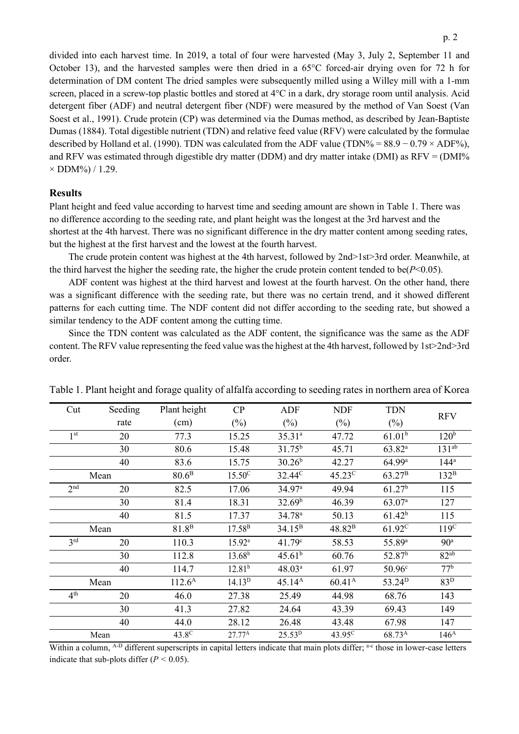divided into each harvest time. In 2019, a total of four were harvested (May 3, July 2, September 11 and October 13), and the harvested samples were then dried in a 65°C forced-air drying oven for 72 h for determination of DM content The dried samples were subsequently milled using a Willey mill with a 1-mm screen, placed in a screw-top plastic bottles and stored at 4°C in a dark, dry storage room until analysis. Acid detergent fiber (ADF) and neutral detergent fiber (NDF) were measured by the method of Van Soest (Van Soest et al., 1991). Crude protein (CP) was determined via the Dumas method, as described by Jean-Baptiste Dumas (1884). Total digestible nutrient (TDN) and relative feed value (RFV) were calculated by the formulae described by Holland et al. (1990). TDN was calculated from the ADF value (TDN% =  $88.9 - 0.79 \times \text{ADF}$ %), and RFV was estimated through digestible dry matter (DDM) and dry matter intake (DMI) as RFV = (DMI%  $\times$  DDM%) / 1.29.

#### **Results**

Plant height and feed value according to harvest time and seeding amount are shown in Table 1. There was no difference according to the seeding rate, and plant height was the longest at the 3rd harvest and the shortest at the 4th harvest. There was no significant difference in the dry matter content among seeding rates, but the highest at the first harvest and the lowest at the fourth harvest.

The crude protein content was highest at the 4th harvest, followed by 2nd>1st>3rd order. Meanwhile, at the third harvest the higher the seeding rate, the higher the crude protein content tended to be( $P<0.05$ ).

ADF content was highest at the third harvest and lowest at the fourth harvest. On the other hand, there was a significant difference with the seeding rate, but there was no certain trend, and it showed different patterns for each cutting time. The NDF content did not differ according to the seeding rate, but showed a similar tendency to the ADF content among the cutting time.

Since the TDN content was calculated as the ADF content, the significance was the same as the ADF content. The RFV value representing the feed value was the highest at the 4th harvest, followed by 1st>2nd>3rd order.

| Cut             | Seeding | Plant height      | CP                 | <b>ADF</b>         | <b>NDF</b>         | <b>TDN</b>         | <b>RFV</b>       |  |
|-----------------|---------|-------------------|--------------------|--------------------|--------------------|--------------------|------------------|--|
|                 | rate    | (cm)              | $(\%)$             | $(\%)$             | $(\%)$             | $(\%)$             |                  |  |
| 1 <sup>st</sup> | 20      | 77.3              | 15.25              | $35.31^{a}$        | 47.72              | $61.01^{b}$        | 120 <sup>b</sup> |  |
|                 | 30      | 80.6              | 15.48              | $31.75^{b}$        | 45.71              | $63.82^{a}$        | $131^{ab}$       |  |
|                 | 40      | 83.6              | 15.75              | $30.26^{b}$        | 42.27              | 64.99a             | $144^a$          |  |
| Mean            |         | 80.6 <sup>B</sup> | $15.50^{\circ}$    | 32.44 <sup>C</sup> | $45.23^{\circ}$    | 63.27 <sup>B</sup> | $132^B$          |  |
| 2 <sup>nd</sup> | 20      | 82.5              | 17.06              | 34.97 <sup>a</sup> | 49.94              | 61.27 <sup>b</sup> | 115              |  |
|                 | 30      | 81.4              | 18.31              | 32.69 <sup>b</sup> | 46.39              | 63.07 <sup>a</sup> | 127              |  |
|                 | 40      | 81.5              | 17.37              | 34.78 <sup>a</sup> | 50.13              | $61.42^{b}$        | 115              |  |
| Mean            |         | 81.8 <sup>B</sup> | $17.58^{B}$        | $34.15^{B}$        | 48.82 <sup>B</sup> | $61.92^C$          | 119 <sup>C</sup> |  |
| 3 <sup>rd</sup> | 20      | 110.3             | $15.92^{\text{a}}$ | 41.79c             | 58.53              | 55.89 <sup>a</sup> | 90 <sup>a</sup>  |  |
|                 | 30      | 112.8             | $13.68^{b}$        | 45.61 <sup>b</sup> | 60.76              | 52.87 <sup>b</sup> | 82 <sup>ab</sup> |  |
|                 | 40      | 114.7             | 12.81 <sup>b</sup> | 48.03 <sup>a</sup> | 61.97              | 50.96 <sup>c</sup> | 77 <sup>b</sup>  |  |
| Mean            |         | $112.6^{\rm A}$   | 14.13 <sup>D</sup> | $45.14^{A}$        | $60.41^{\rm A}$    | 53.24 <sup>D</sup> | 83 <sup>D</sup>  |  |
| 4 <sup>th</sup> | 20      | 46.0              | 27.38              | 25.49              | 44.98              | 68.76              | 143              |  |
|                 | 30      | 41.3              | 27.82              | 24.64              | 43.39              | 69.43              | 149              |  |
|                 | 40      | 44.0              | 28.12              | 26.48              | 43.48              | 67.98              | 147              |  |
| Mean            |         | $43.8^\circ$      | $27.77^{\rm A}$    | 25.53 <sup>D</sup> | 43.95 <sup>C</sup> | 68.73 <sup>A</sup> | 146 <sup>A</sup> |  |

Table 1. Plant height and forage quality of alfalfa according to seeding rates in northern area of Korea

Within a column, <sup>A-D</sup> different superscripts in capital letters indicate that main plots differ; <sup>a-c</sup> those in lower-case letters indicate that sub-plots differ (*P <* 0.05).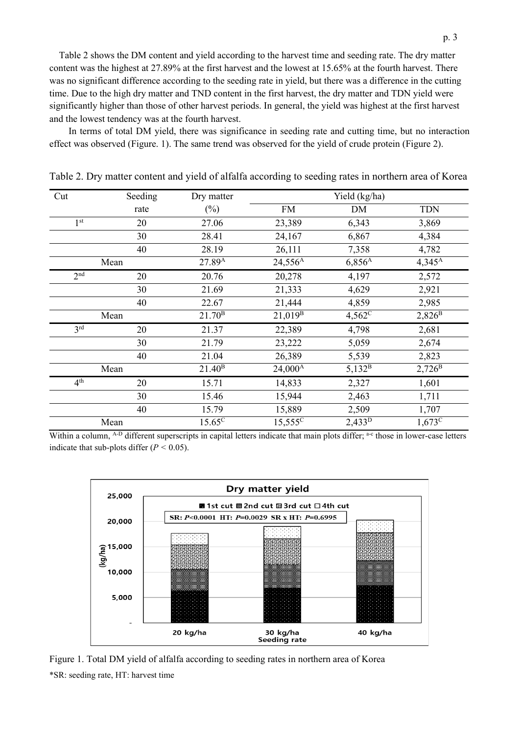Table 2 shows the DM content and yield according to the harvest time and seeding rate. The dry matter content was the highest at 27.89% at the first harvest and the lowest at 15.65% at the fourth harvest. There was no significant difference according to the seeding rate in yield, but there was a difference in the cutting time. Due to the high dry matter and TND content in the first harvest, the dry matter and TDN yield were significantly higher than those of other harvest periods. In general, the yield was highest at the first harvest and the lowest tendency was at the fourth harvest.

In terms of total DM yield, there was significance in seeding rate and cutting time, but no interaction effect was observed (Figure. 1). The same trend was observed for the yield of crude protein (Figure 2).

| Cut             | Seeding | Dry matter         | Yield (kg/ha)       |                 |                 |
|-----------------|---------|--------------------|---------------------|-----------------|-----------------|
|                 | rate    | $(\%)$             | <b>FM</b>           | DM              | <b>TDN</b>      |
| 1 <sup>st</sup> | 20      | 27.06              | 23,389              | 6,343           | 3,869           |
|                 | 30      | 28.41              | 24,167              | 6,867           | 4,384           |
|                 | 40      | 28.19              | 26,111              | 7,358           | 4,782           |
| Mean            |         | 27.89 <sup>A</sup> | $24,556^A$          | $6,856^{\rm A}$ | $4,345^{\rm A}$ |
| 2 <sup>nd</sup> | 20      | 20.76              | 20,278              | 4,197           | 2,572           |
|                 | 30      | 21.69              | 21,333              | 4,629           | 2,921           |
|                 | 40      | 22.67              | 21,444              | 4,859           | 2,985           |
| Mean            |         | 21.70 <sup>B</sup> | $21,019^{B}$        | $4,562^{\circ}$ | $2,826^{\rm B}$ |
| 3 <sup>rd</sup> | 20      | 21.37              | 22,389              | 4,798           | 2,681           |
|                 | 30      | 21.79              | 23,222              | 5,059           | 2,674           |
|                 | 40      | 21.04              | 26,389              | 5,539           | 2,823           |
| Mean            |         | 21.40 <sup>B</sup> | 24,000 <sup>A</sup> | $5,132^B$       | $2,726^{\rm B}$ |
| 4 <sup>th</sup> | 20      | 15.71              | 14,833              | 2,327           | 1,601           |
|                 | 30      | 15.46              | 15,944              | 2,463           | 1,711           |
|                 | 40      | 15.79              | 15,889              | 2,509           | 1,707           |
| Mean            |         | $15.65^{\circ}$    | $15,555^{\circ}$    | $2,433^D$       | $1,673^{\circ}$ |

Table 2. Dry matter content and yield of alfalfa according to seeding rates in northern area of Korea

Within a column, <sup>A-D</sup> different superscripts in capital letters indicate that main plots differ; <sup>a-c</sup> those in lower-case letters indicate that sub-plots differ (*P <* 0.05).



Figure 1. Total DM yield of alfalfa according to seeding rates in northern area of Korea \*SR: seeding rate, HT: harvest time